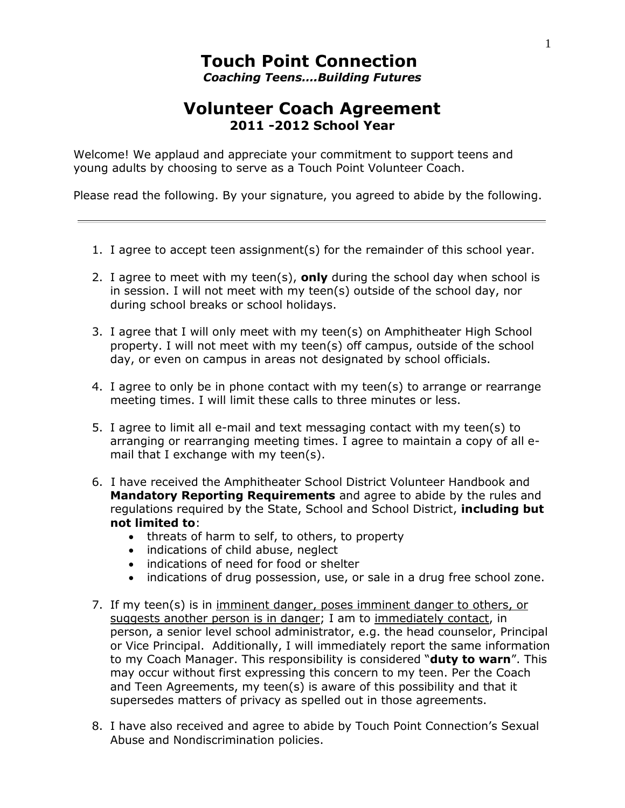## **Touch Point Connection** *Coaching Teens….Building Futures*

## **Volunteer Coach Agreement 2011 -2012 School Year**

Welcome! We applaud and appreciate your commitment to support teens and young adults by choosing to serve as a Touch Point Volunteer Coach.

Please read the following. By your signature, you agreed to abide by the following.

- 1. I agree to accept teen assignment(s) for the remainder of this school year.
- 2. I agree to meet with my teen(s), **only** during the school day when school is in session. I will not meet with my teen(s) outside of the school day, nor during school breaks or school holidays.
- 3. I agree that I will only meet with my teen(s) on Amphitheater High School property. I will not meet with my teen(s) off campus, outside of the school day, or even on campus in areas not designated by school officials.
- 4. I agree to only be in phone contact with my teen(s) to arrange or rearrange meeting times. I will limit these calls to three minutes or less.
- 5. I agree to limit all e-mail and text messaging contact with my teen(s) to arranging or rearranging meeting times. I agree to maintain a copy of all email that I exchange with my teen(s).
- 6. I have received the Amphitheater School District Volunteer Handbook and **Mandatory Reporting Requirements** and agree to abide by the rules and regulations required by the State, School and School District, **including but not limited to**:
	- threats of harm to self, to others, to property
	- indications of child abuse, neglect
	- indications of need for food or shelter
	- indications of drug possession, use, or sale in a drug free school zone.
- 7. If my teen(s) is in imminent danger, poses imminent danger to others, or suggests another person is in danger; I am to immediately contact, in person, a senior level school administrator, e.g. the head counselor, Principal or Vice Principal. Additionally, I will immediately report the same information to my Coach Manager. This responsibility is considered "**duty to warn**". This may occur without first expressing this concern to my teen. Per the Coach and Teen Agreements, my teen(s) is aware of this possibility and that it supersedes matters of privacy as spelled out in those agreements.
- 8. I have also received and agree to abide by Touch Point Connection's Sexual Abuse and Nondiscrimination policies.